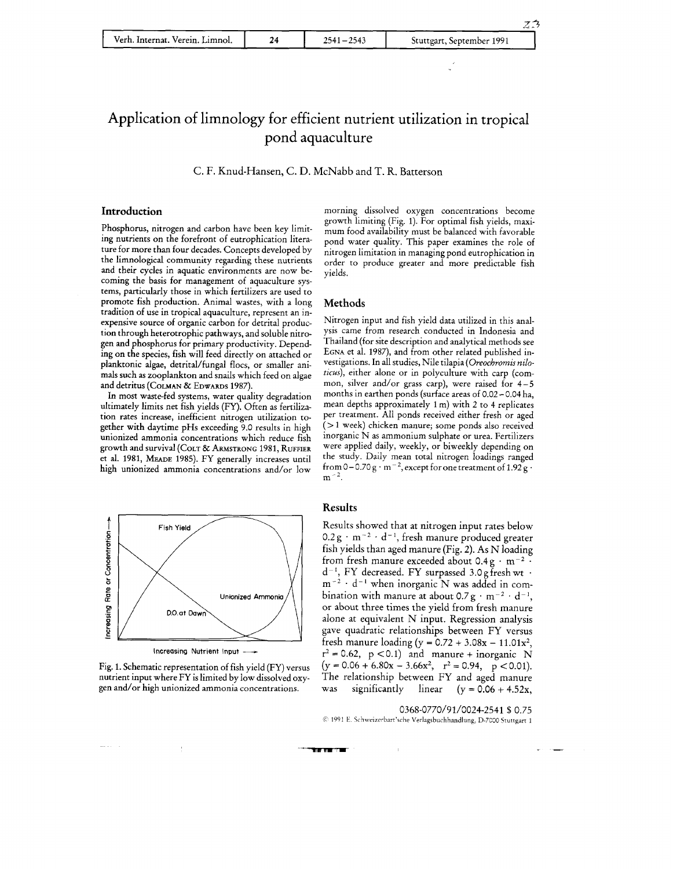| Verh. Internat. Verein. Limnol. | 2543<br>$2541 - 1$ | Stuttgart, September 1991 |
|---------------------------------|--------------------|---------------------------|

### Application of limnology for efficient nutrient utilization in tropical pond aquaculture

C. F. Knud-Hansen, C. D. McNabb and T. R. Batterson

#### **Introduction**

Phosphorus, nitrogen and carbon have been key limiting nutrients on the forefront of eutrophication literature for more than four decades. Concepts developed by the limnological community regarding these nutrients and their cycles in aquatic environments are now becoming the basis for management of aquaculture systems, particularly those in which fertilizers are used to promote fish production. Animal wastes, with a long tradition of use in tropical aquaculture, represent an inexpensive source of organic carbon for detrital production through heterotrophic pathways, and soluble nitrogen and phosphorus for primary productivity. Depending on the species, fish will feed directly on attached or planktonic algae, detrital/fungal flocs, or smaller animals such as zooplankton and snails which feed on algae and detritus (COLMAN & EDWARDS 1987).

In most waste-fed systems, water quality degradation ultimately limits net fish yields (FY). Often as fertilization rates increase, inefficient nitrogen utilization together with daytime pHs exceeding 9.0 results in high unionized ammonia concentrations which reduce fish growth and survival (COLT 81. ARMSTRONG 1981, **RUFFIER**  et al. 1981, MEADE 1985). FY generally increases until high unionized ammonia concentrations and/or low





morning dissolved oxygen concentrations become growth limiting (Fig. 1). For optimal fish yields, maximum food availability must be balanced with favorable pond water quality. This paper examines the role of nitrogen limitation in managing pond eutrophication in order to produce greater and more predictable fish yields.

 $Z\overline{3}$ 

#### **Methods**

Nitrogen input and fish yield data utilized in this analysis came from research conducted in Indonesia and Thailand (for site description and analytical methods see EGNA et al. 1987), and from other related published investigations. In all studies, Nile tilapia (Oreochromis nilo*ticus),* either alone or in polyculture with carp (common, silver and/or grass carp), were raised for 4-5 months in earthen ponds (surface areas of 0.02 - 0.04 ha, mean depths approximately 1 m) with 2 to 4 replicates per treatment. All ponds received either fresh or aged (> 1 week) chicken manure; some ponds also received inorganic N as ammonium sulphate or urea. Fertilizers were applied daily, weekly, or biweekly depending on the study. Daily mean total nitrogen loadings ranged from 0-0.70 g  $\cdot$  m<sup>-2</sup>, except for one treatment of 1.92 g  $\cdot$  $m^{-2}$ .

#### **Results**

**The Factor** 

Results showed that at nitrogen input rates below  $0.2 g \cdot m^{-2} \cdot d^{-1}$ , fresh manure produced greater fish yields than aged manure (Fig. 2). As N loading from fresh manure exceeded about  $0.4 g \cdot m^{-2}$ .  $d^{-1}$ , FY decreased. FY surpassed 3.0 g fresh wt  $\cdot$  $m^{-2}$   $d^{-1}$  when inorganic N was added in combination with manure at about  $0.7g \cdot m^{-2} \cdot d^{-1}$ , or about three times the yield from fresh manure alone at equivalent N input. Regression analysis gave quadratic relationships between FY versus fresh manure loading (y =  $0.72 + 3.08x - 11.01x^2$ ,  $r^2 = 0.62$ ,  $p < 0.1$ ) and manure + inorganic N  $(y=0.06+6.80x-3.66x^2, r^2=0.94, p < 0.01).$ The relationship between FY and aged manure was significantly linear  $(y = 0.06 + 4.52x,$ 

0368-0770/9 1/0024-2541 \$0.75 1991 E Siharlzerbarr'5che Verlagsbuchhandlung **D-7C00** Sruttgart 1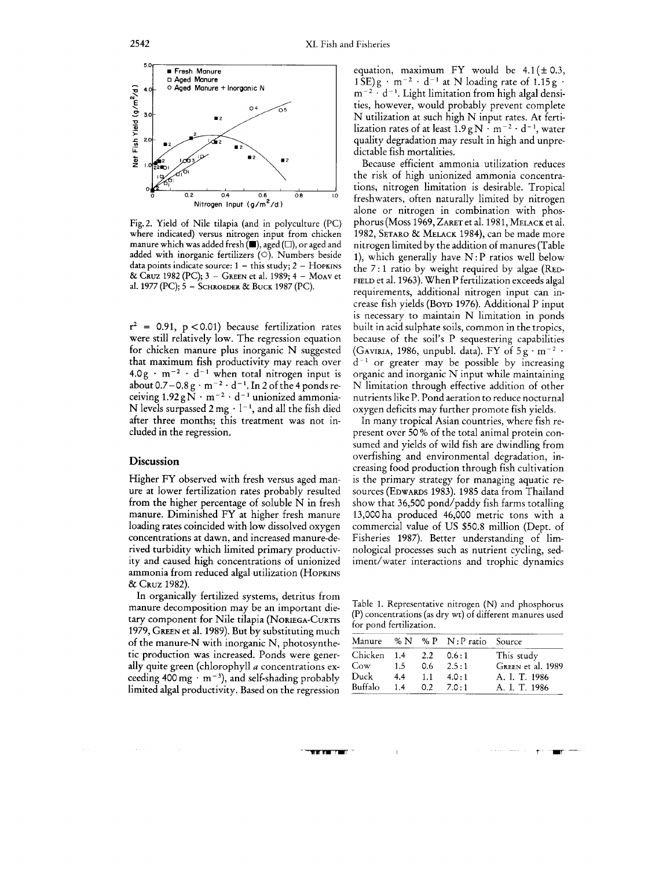

Fig.2. Yield of Nile tilapia (and in polyculture (PC) where indicated) versus nitrogen input from chicken manure which **was** added fresh **(W),** aged *(O),* or aged and added with inorganic fertilizers  $(O)$ . Numbers beside data points indicate source:  $1 -$  this study;  $2 -$  HOPKINS & CRUZ 1982 (PC); **3** - GREEN et al. 1989; 4 - MOAV et al. 1977 (PC); 5 - SCHROEDER & BUCK 1987 (PC).

 $r^2$  = 0.91,  $p < 0.01$ ) because fertilization rates were still relatively low. The regression equation for chicken manure plus inorganic N suggested that maximum fish productivity may reach over  $4.0g \cdot m^{-2} \cdot d^{-1}$  when total nitrogen input is about 0.7–0.8  $\text{g} \cdot \text{m}^{-2} \cdot \text{d}^{-1}$ . In 2 of the 4 ponds receiving  $1.92\,\mathrm{g\,N\cdot m^{-2}\cdot d^{-1}}$  unionized ammonia-N levels surpassed  $2 \text{ mg} \cdot 1^{-1}$ , and all the fish died after three months; this treatment was not included in the regression.

#### **Discussion**

Higher FY observed with fresh versus aged manure at lower fertilization rates probably resulted from the higher percentage of soluble N in fresh manure. Diminished FY at higher fresh manure loading rates coincided with low dissolved oxygen concentrations at dawn, and increased manure-derived turbidity which limited primary productivity and caused high concentrations of unionized ammonia from reduced algal utilization (HOPKINS & CRUZ 1982).

In organically fertilized systems, detritus from manure decomposition may be an important dietary component for Nile tilapia (NORIEGA-CURTIS 1979, GREEN et al. 1989). But by substituting much of the manure-N with inorganic N, photosynthetic production was increased. Ponds were generally quite green (chlorophyll a concentrations exceeding 400 mg  $\cdot$  m<sup>-3</sup>), and self-shading probably limited algal productivity. Based on the regression

equation, maximum FY would be  $4.1 (\pm 0.3,$  $1 \text{SE}$ )g · m<sup>-2</sup> · d<sup>-1</sup> at N loading rate of 1.15g  $m^{-2}$   $\cdot$  d<sup>-1</sup>. Light limitation from high algal densities, however, would probably prevent complete N utilization at such high N input rates. At fertilization rates of at least  $1.9gN \cdot m^{-2} \cdot d^{-1}$ , water quality degradation may result in high and unpredictable fish mortalities.

Because efficient ammonia utilization reduces the risk of high unionized ammonia concentrations, nitrogen limitation is desirable. Tropical freshwaters, often naturally limited by nitrogen alone or nitrogen in combination with phosphorus (Moss 1969, ZARET et al. 1981, MELACK et al. 1982, SETARO & MELACK 1984), can be made more nitrogen limited by the addition of manures (Table 1), which generally have  $N$ : P ratios well below the 7: 1 ratio by weight required by algae (RED-FIELD et al. 1963). When P fertilization exceeds algal requirements, additional nitrogen input can increase fish yields (Boyp 1976). Additional P input is necessary to maintain N limitation in ponds built in acid sulphate soils, common in the tropics, because of the soil's P sequestering capabilities (GAVIRIA, 1986, unpubl. data). FY of  $5g \cdot m^{-2}$ .  $d^{-1}$  or greater may be possible by increasing organic and inorganic N input while maintaining N limitation through effective addition of other nutrients like P. Pond aeration to reduce nocturnal oxygen deficits may further promote fish yields.

In many tropical Asian countries, where fish represent over 50% of the total animal protein consumed and yields of wild fish are dwindling from overfishing and environmental degradation, increasing food production through fish cultivation is the primary strategy for managing aquatic resources (EDWARDS 1983). 1985 data from Thailand show that 36,500 pond/paddy fish farms totalling 13,000ha produced 46,000 metric tons with a commercial value of US \$50.8 million (Dept. of Fisheries 1987). Better understanding of limnological processes such as nutrient cycling, sediment/water interactions and trophic dynamics

Table 1. Representative nitrogen (N) and phosphorus (P) concentrations (as dry wt) of different manures used for pond fertilization.

| Manure      |         |         | % N % P N: P ratio Source |                   |
|-------------|---------|---------|---------------------------|-------------------|
| Chicken 1.4 |         | 2.2     | 0.6:1                     | This study        |
| Cov         | $1.5 -$ | 0.6     | 2.5:1                     | GREEN et al. 1989 |
| Duck        | 4.4     | $1.1 -$ | 4.0:1                     | A. I. T. 1986     |
| Buffalo     | 1.4     |         | $0.2$ $7.0:1$             | A. I. T. 1986     |

## **The Community**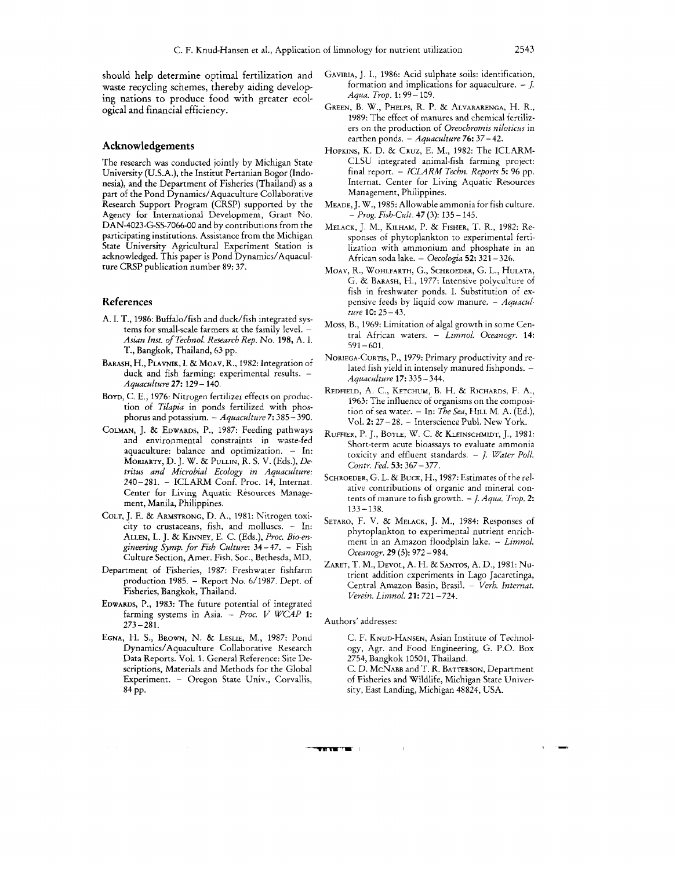should help determine optimal fertilization and waste recycling schemes, thereby aiding developing nations to produce food with greater ecological and financial efficiency.

#### **Acknowledgements**

The research was conducted jointly by Michigan State University (U.S.A.), the Institut Pertanian Bogor (Indonesia), and the Department of Fisheries (Thailand) as a part of the Pond Dynamics/Aquaculture Collaborative Research Support Program (CRSP) supported by the Agency for International Development, Grant No. DAN-4023-G-SS-7066-00 and by contributions from the participating institutions. Assistance from the Michigan State University Agricultural Experiment Station is acknowledged. This paper is Pond Dynamics/Aquaculture CRSP publication number 89: 37.

#### **References**

- **A.** I. T., 1986: Buffalo/fish and duck/fish integrated systems for small-scale farmers at the family level. -*Asian Inst. of Technol. Research Rep.* No. 198, A. I. T., Bangkok, Thailand, 63 pp.
- BARASH, H., PLAVNIK, I. & MOAV, R., 1982: Integration of duck and fish farming: experimental results. -*Aquaculture* 27: 129 - 140.
- BOYD, C. E., 1976: Nitrogen fertilizer effects on production of *Tilapia* in ponds fertilized with phosphorus and potassium. - *Aquaculture* 7: 385 - 390.
- COLMAN, J.& EDWARDS, P., 1987: Feeding pathways and environmental constraints in waste-fed aquaculture: balance and optimization. - In: MORIARTY, D. J. W. & PULLIN, R. S. V. (Eds.), *Detritus and Microbial Ecology in Aquaculture:*  240-281. - ICLARM Conf. Proc. 14, Internat. Center for Living Aquatic Resources Management, Manila, Philippines.
- COLT, J. E. & ARMSTRONG, D. A,, 1981: Nitrogen toxicity to crustaceans, fish, and molluscs. - In: ALLEN, L. J. & KINNEY, E. C. (Eds.), *Proc. Bio-engineering Symp. for Fish Culture:* 34 -47. - Fish Culture Section, Amer. Fish. Soc., Bethesda, MD.
- Department of Fisheries, 1987: Freshwater fishfarm production 1985. - Report No. 6/1987. Dept. of Fisheries, Bangkok, Thailand.
- EDWARDS, P., 1983: The future potential of integrated farming systems in Asia. - *Proc.* I/ *WCAP* **1:**   $273 - 281$ .
- EGNA, H. S., BROWN, N. & LESLIE, M., 1987: Pond Dynamics/Aquaculture Collaborative Research Data Reports. Vol. 1. General Reference: Site Descriptions, Materials and Methods for the Global Experiment. - Oregon State Univ., Corvallis, 84 PP.
- GAVIRIA, J.I., 1986: Acid sulphate soils: identification, formation and implications for aquaculture.  $-$  *J*. *Aqua. Trop. 1:* <sup>99</sup>- 109.
- GREEN, B. W., PHELPS, R. P. & ALVARARENGA, H. R., 1989: The effect of manures and chemical fertilizers on the production of *Oveocbromis niloticus* in earthen ponds. - *Aquaculture* 76: 37- 42.
- HOPKINS, K. D. & CRUZ, E. M., 1982: The ICLARM-CLSU integrated animal-fish farming project: final report. - ICLARM *Tecbn. Reports* **5:** 96 pp. Internat. Center for Living Aquatic Resources Management, Philippines.
- MEADE, J. W., 1985: Allowable ammonia for fish culture. - *Prog. Fish-Cult.* **47** (3): 135- 145.
- MELACK, J. M., KILHAM, P. & FISHER, T. R., 1982: Responses of phytoplankton to experimental fertilization with ammonium and phosphate in an African soda lake. - *Oecologia* 52: 321 - 326.
- MOAV, R., WOHLFARTH, G., SCHROEDER, G.L., HULATA, G. & BARASH, H., 1977: Intensive polyculture of fish in freshwater ponds. I. Substitution of expensive feeds by liquid cow manure. - *Aquaculture 10:* 25-43.
- Moss, B., 1969: Limitation of algal growth in some Central African waters. - *Limnol. Oceanogr.* **14:**  591-601.
- NORIEGA-CURTIS, P., 1979: Primary productivity and related fish yield in intensely manured fishponds. - *Aquaculture* **17:** 335 -344.
- REDFIELD, A. C., KETCHUM, B. H. & RICHARDS, F.A,, 1963: The influence of organisms on the composition of sea water. - In: *fie Sea,* HILL M. A. (Ed.), Vol. **2:** 27-28. - Interscience Publ. New York.
- RUFFIER, P.J., BOYLE, W. C. & KLEINSCHMIDT, J., 1981: Short-term acute bioassays to evaluate ammonia toxicity and effluent standards. - J. *Water Poll. Contr. Fed.* **53:** 367 - 377.
- SCHROEDER, G. L. & BUCK, H., 1987: Estimates of the relative contributions of organic and mineral contents of manure to fish growth. - *J. Aqua. Trop.* **2:**   $133 - 138$ .
- SETARO, F. V. & MELACK, J. M., 1984: Responses of phytoplankton to experimental nutrient enrichment in an Amazon floodplain lake. - Limnol. *Oceanogr.* 29 *(5):* <sup>972</sup>- 984.
- ZARET, T. M., DEVOL, A. H. & SANTOS, A. D., 1981: NUtrient addition experiments in Lago Jacaretinga, Central Amazon Basin, Brasil. - *Verb. Internat. Verein. Limnol.* **21:** 721 - 724.

#### Authors' addresses:

**THE VELTER** 

- C. F. KNUD-HANSEN, Asian Institute of Technology, Agr. and Food Engineering, G. P.O. Box 2754, Bangkok 10501, Thailand.
- C. D. MCNABB and T. R. BATTERSON, Department of Fisheries and Wildlife, Michigan State University, East Landing, Michigan 48824, USA.